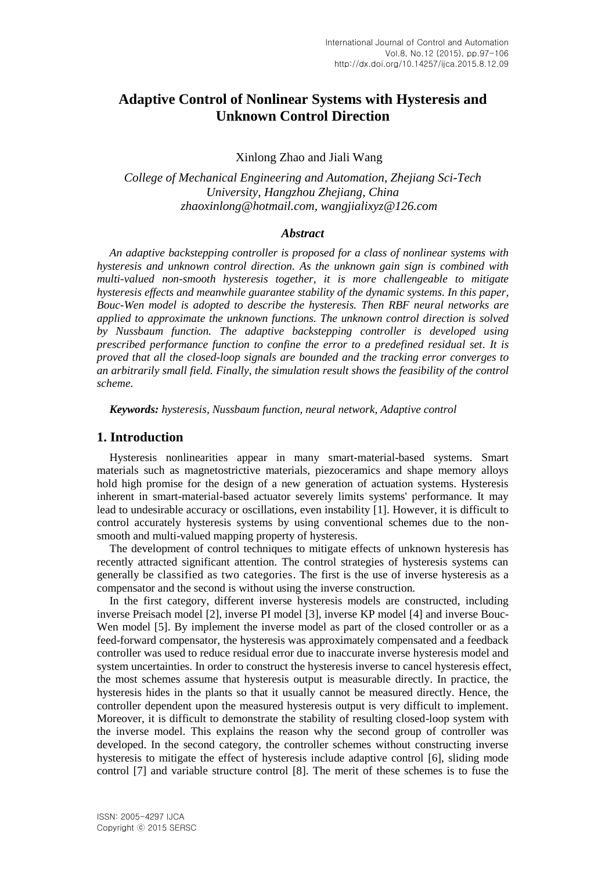# **Adaptive Control of Nonlinear Systems with Hysteresis and Unknown Control Direction**

Xinlong Zhao and Jiali Wang

*College of Mechanical Engineering and Automation, Zhejiang Sci-Tech University, Hangzhou Zhejiang, China zhaoxinlong@hotmail.com, wangjialixyz@126.com*

### *Abstract*

*An adaptive backstepping controller is proposed for a class of nonlinear systems with hysteresis and unknown control direction. As the unknown gain sign is combined with multi-valued non-smooth hysteresis together, it is more challengeable to mitigate hysteresis effects and meanwhile guarantee stability of the dynamic systems. In this paper, Bouc-Wen model is adopted to describe the hysteresis. Then RBF neural networks are applied to approximate the unknown functions. The unknown control direction is solved by Nussbaum function. The adaptive backstepping controller is developed using prescribed performance function to confine the error to a predefined residual set. It is proved that all the closed-loop signals are bounded and the tracking error converges to an arbitrarily small field. Finally, the simulation result shows the feasibility of the control scheme.*

*Keywords: hysteresis, Nussbaum function, neural network, Adaptive control*

## **1. Introduction**

Hysteresis nonlinearities appear in many smart-material-based systems. Smart materials such as magnetostrictive materials, piezoceramics and shape memory alloys hold high promise for the design of a new generation of actuation systems. Hysteresis inherent in smart-material-based actuator severely limits systems' performance. It may lead to undesirable accuracy or oscillations, even instability [1]. However, it is difficult to control accurately hysteresis systems by using conventional schemes due to the nonsmooth and multi-valued mapping property of hysteresis.

The development of control techniques to mitigate effects of unknown hysteresis has recently attracted significant attention. The control strategies of hysteresis systems can generally be classified as two categories. The first is the use of inverse hysteresis as a compensator and the second is without using the inverse construction.

In the first category, different inverse hysteresis models are constructed, including inverse Preisach model [2], inverse PI model [3], inverse KP model [4] and inverse Bouc-Wen model [5]. By implement the inverse model as part of the closed controller or as a feed-forward compensator, the hysteresis was approximately compensated and a feedback controller was used to reduce residual error due to inaccurate inverse hysteresis model and system uncertainties. In order to construct the hysteresis inverse to cancel hysteresis effect, the most schemes assume that hysteresis output is measurable directly. In practice, the hysteresis hides in the plants so that it usually cannot be measured directly. Hence, the controller dependent upon the measured hysteresis output is very difficult to implement. Moreover, it is difficult to demonstrate the stability of resulting closed-loop system with the inverse model. This explains the reason why the second group of controller was developed. In the second category, the controller schemes without constructing inverse hysteresis to mitigate the effect of hysteresis include adaptive control [6], sliding mode control [7] and variable structure control [8]. The merit of these schemes is to fuse the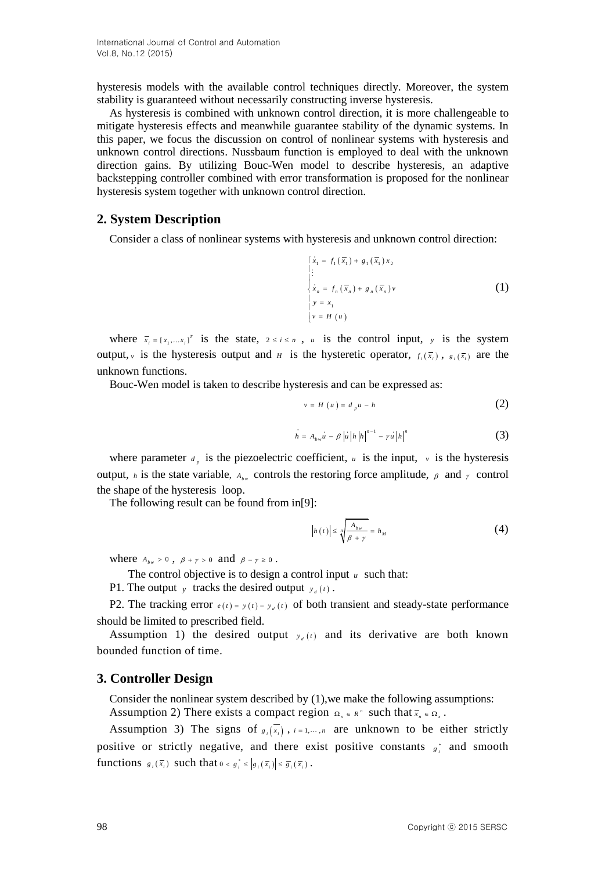hysteresis models with the available control techniques directly. Moreover, the system stability is guaranteed without necessarily constructing inverse hysteresis.

As hysteresis is combined with unknown control direction, it is more challengeable to mitigate hysteresis effects and meanwhile guarantee stability of the dynamic systems. In this paper, we focus the discussion on control of nonlinear systems with hysteresis and unknown control directions. Nussbaum function is employed to deal with the unknown direction gains. By utilizing Bouc-Wen model to describe hysteresis, an adaptive backstepping controller combined with error transformation is proposed for the nonlinear hysteresis system together with unknown control direction.

### **2. System Description**

Consider a class of nonlinear systems with hysteresis and unknown control direction:

$$
\begin{cases}\n\dot{x}_1 = f_1(\overline{x}_1) + g_1(\overline{x}_1) x_2 \\
\vdots \\
\dot{x}_n = f_n(\overline{x}_n) + g_n(\overline{x}_n) v \\
y = x_1 \\
v = H(u)\n\end{cases}
$$
\n(1)

where  $\bar{x}_i = [x_1, \dots, x_i]^T$  is the state,  $2 \le i \le n$ , *u* is the control input, *y* is the system output, *v* is the hysteresis output and *H* is the hysteretic operator,  $f_i(\bar{x}_i)$ ,  $g_i(\bar{x}_i)$  are the unknown functions.

Bouc-Wen model is taken to describe hysteresis and can be expressed as:

$$
v = H(u) = d_{p}u - h \tag{2}
$$

$$
h = A_{bw}u - \beta |u|h|h|^{n-1} - \gamma u |h|^n \tag{3}
$$

where parameter  $d_p$  is the piezoelectric coefficient, u is the input, v is the hysteresis output, *h* is the state variable,  $A_{bw}$  controls the restoring force amplitude,  $\beta$  and  $\gamma$  control the shape of the hysteresis loop.

The following result can be found from in[9]:

$$
\left| h(t) \right| \le \sqrt[n]{\frac{A_{bw}}{\beta + \gamma}} = h_M \tag{4}
$$

where  $A_{bw} > 0$ ,  $\beta + \gamma > 0$  and  $\beta - \gamma \ge 0$ .

The control objective is to design a control input  $u$  such that:

P1. The output y tracks the desired output  $y_d(t)$ .

P2. The tracking error  $e(t) = y(t) - y_d(t)$  of both transient and steady-state performance should be limited to prescribed field.

Assumption 1) the desired output  $y_d(t)$  and its derivative are both known bounded function of time.

#### **3. Controller Design**

Consider the nonlinear system described by (1),we make the following assumptions: Assumption 2) There exists a compact region  $\Omega_x \in R^n$  such that  $\overline{x}_n \in \Omega_x$ .

Assumption 3) The signs of  $g_i(\overline{x_i})$ ,  $i = 1, \dots, n$  are unknown to be either strictly positive or strictly negative, and there exist positive constants  $s_i^*$  and smooth functions  $g_i(\overline{x_i})$  such that  $0 < g_i^* \leq |g_i(\overline{x_i})| \leq \overline{g_i(\overline{x_i})}$ .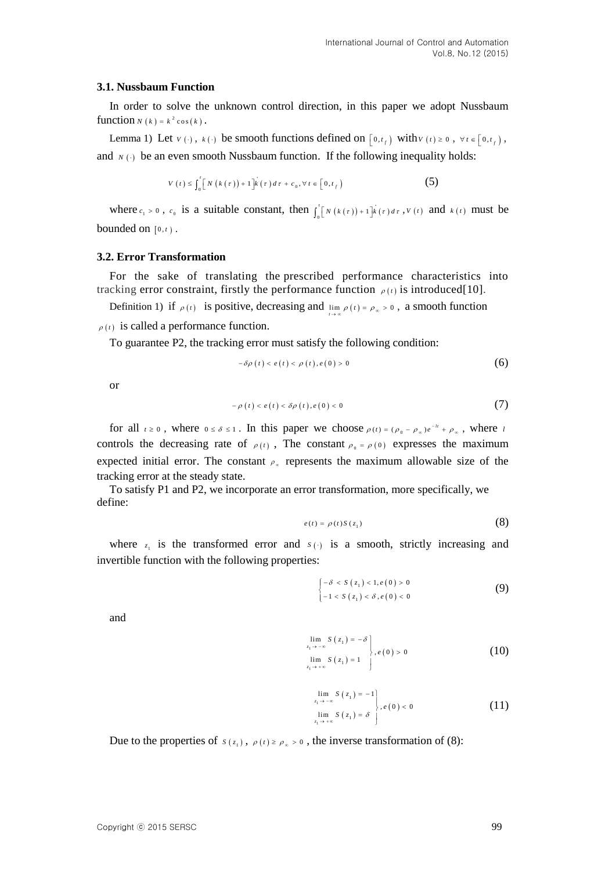#### **3.1. Nussbaum Function**

In order to solve the unknown control direction, in this paper we adopt Nussbaum function  $N(k) = k^2 \cos(k)$ .

Lemma 1) Let  $v(\cdot)$ ,  $k(\cdot)$  be smooth functions defined on  $\left[0, t_f\right)$  with  $v(t) \geq 0$ ,  $\forall t \in \left[0, t_f\right)$ , and  $N(\cdot)$  be an even smooth Nussbaum function. If the following inequality holds:

$$
V(t) \leq \int_0^t \left[ N\left(k\left(\tau\right)\right) + 1 \right] k\left(\tau\right) d\tau + c_0, \forall t \in \left[0, t_f\right) \tag{5}
$$

where  $c_1 > 0$ ,  $c_0$  is a suitable constant, then  $\int_0^t [N(k(\tau)) + 1]k(\tau) d\tau$ ,  $V(t)$  and  $k(t)$  must be bounded on  $[0, t)$ .

### **3.2. Error Transformation**

For the sake of translating the prescribed performance characteristics into tracking error constraint, firstly the performance function  $\rho(t)$  is introduced[10].

Definition 1) if  $\rho(t)$  is positive, decreasing and  $\lim_{t \to \infty} \rho(t) = \rho_{\infty} > 0$ , a smooth function  $\rho(t)$  is called a performance function.

To guarantee P2, the tracking error must satisfy the following condition:

$$
-\delta\rho(t) < e(t) < \rho(t), e(0) > 0 \tag{6}
$$

or

$$
-\rho(t) < e(t) < \delta\rho(t), e(0) < 0 \tag{7}
$$

for all  $t \ge 0$ , where  $0 \le \delta \le 1$ . In this paper we choose  $\rho(t) = (\rho_0 - \rho_\infty)e^{-kt} + \rho_\infty$ , where i controls the decreasing rate of  $\rho(t)$ , The constant  $\rho_0 = \rho(0)$  expresses the maximum expected initial error. The constant  $\rho_*$  represents the maximum allowable size of the tracking error at the steady state.

To satisfy P1 and P2, we incorporate an error transformation, more specifically, we define:

$$
e(t) = \rho(t)S(z_1)
$$
 (8)

where  $z_1$  is the transformed error and  $s(\cdot)$  is a smooth, strictly increasing and invertible function with the following properties:

$$
\begin{cases}\n-\delta < S\left(z_1\right) < 1, e\left(0\right) > 0 \\
-1 < S\left(z_1\right) < \delta, e\left(0\right) < 0\n\end{cases}\n\tag{9}
$$

and

$$
\lim_{\substack{z_1 \to -\infty \\ z_1 \to +\infty}} S(z_1) = -\delta
$$
\n
$$
\lim_{z_1 \to +\infty} S(z_1) = 1
$$
\n(10)

$$
\lim_{\substack{z_1 \to -\infty \\ z_1 \to +\infty}} S(z_1) = -1
$$
\n
$$
\lim_{z_1 \to +\infty} S(z_1) = \delta
$$
\n(11)

Due to the properties of  $s(z_1)$ ,  $\rho(t) \ge \rho_{\infty} > 0$ , the inverse transformation of (8):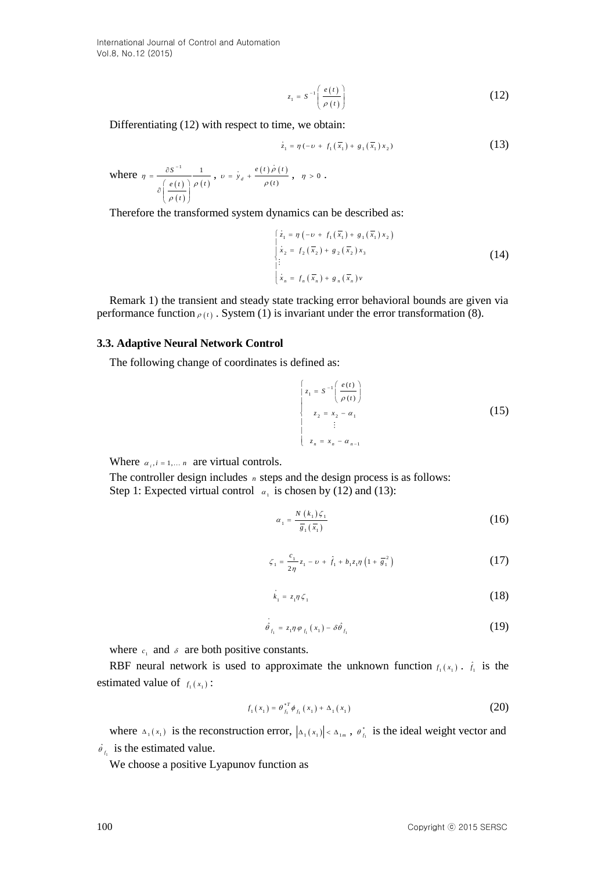International Journal of Control and Automation Vol.8, No.12 (2015)

$$
z_1 = S^{-1} \left( \frac{e(t)}{\rho(t)} \right) \tag{12}
$$

Differentiating (12) with respect to time, we obtain:

$$
\dot{z}_1 = \eta \left( -\nu + f_1 \left( \overline{x}_1 \right) + g_1 \left( \overline{x}_1 \right) x_2 \right) \tag{13}
$$

where 
$$
\eta = \frac{\partial S^{-1}}{\partial \left(\frac{e(t)}{\rho(t)}\right)} \frac{1}{\rho(t)}, \quad v = \dot{y}_d + \frac{e(t)\rho(t)}{\rho(t)}, \quad \eta > 0.
$$

Therefore the transformed system dynamics can be described as:

$$
\begin{cases} \n\dot{z}_1 = \eta \left( -\nu + f_1(\overline{x}_1) + g_1(\overline{x}_1) x_2 \right) \\ \n\dot{x}_2 = f_2(\overline{x}_2) + g_2(\overline{x}_2) x_3 \\ \n\vdots \\ \n\dot{x}_n = f_n(\overline{x}_n) + g_n(\overline{x}_n) v \n\end{cases} \n\tag{14}
$$

Remark 1) the transient and steady state tracking error behavioral bounds are given via performance function  $\rho(t)$ . System (1) is invariant under the error transformation (8).

#### **3.3. Adaptive Neural Network Control**

The following change of coordinates is defined as:

12)  
\nDifferentiating (12) with respect to time, we obtain:  
\n
$$
i_x = \pi(-b + f_1(\bar{x}_1) + g_1(\bar{x}_1) + g_2(\bar{x}_2))
$$
 (13)  
\nwhere  $\pi = \frac{\delta S^{-1}}{\delta\left(\frac{x(t)}{\rho(t)}\right)} \frac{1}{\rho(t)}, v = \frac{1}{2}\epsilon + \frac{x(t)\delta(t)}{\rho(t)}, \eta > 0$ .  
\nTherefore the transformed system dynamics can be described as:  
\n
$$
\begin{cases}\n\frac{1}{2} \pi f_1(\bar{x}_1) + g_1(\bar{x}_2) + g_2(\bar{x}_3) + g_1(\bar{x}_4) + g_2(\bar{x}_5) + g_3(\bar{x}_6) + g_4(\bar{x}_7) + g_4(\bar{x}_8) + g_5(\bar{x}_8) + g_6(\bar{x}_9) + g_7(\bar{x}_9) + g_7(\bar{x}_9) + g_7(\bar{x}_9) + g_8(\bar{x}_9) + g_8(\bar{x}_9) + g_9(\bar{x}_9) + g_9(\bar{x}_9) + g_9(\bar{x}_9) + g_9(\bar{x}_9) + g_9(\bar{x}_9) + g_9(\bar{x}_9) + g_9(\bar{x}_9) + g_9(\bar{x}_9) + g_9(\bar{x}_9) + g_9(\bar{x}_9) + g_9(\bar{x}_9) + g_9(\bar{x}_9) + g_9(\bar{x}_9) + g_9(\bar{x}_9) + g_9(\bar{x}_9) + g_9(\bar{x}_9) + g_9(\bar{x}_9) + g_9(\bar{x}_9) + g_9(\bar{x}_9) + g_9(\bar{x}_9) + g_9(\bar{x}_9) + g_9(\bar{x}_9) + g_9(\bar{x}_9) + g_9(\bar{x}_9) + g_9(\bar{x}_9) + g_9(\bar{x}_9) + g_9(\bar{x}_9) + g_9(\bar{x}_9) + g_9(\bar{x}_9) + g_9(\bar{x}_9) + g_9(\bar{x}_9) + g_9(\bar{x}_9) + g_9(\bar{x}_9) + g_9(\bar{x}_9) + g_9(\bar{x}_9) + g_9(\bar{x}_9) + g_9(\bar{x}_9) + g_9(\bar{x}_9) + g_9(\bar{x}_9) + g_9(\bar{x}_9) + g_9(\bar{x}_9) + g_9(\bar{x}_9) + g_9(\bar{x}_9) + g_9(\bar{x
$$

Where  $\alpha_i$ , *i* = 1,... *n* are virtual controls.

The controller design includes *n* steps and the design process is as follows: Step 1: Expected virtual control  $\alpha_1$  is chosen by (12) and (13):

$$
\alpha_1 = \frac{N(k_1)\zeta_1}{\overline{s}_1(\overline{x}_1)}\tag{16}
$$

$$
\zeta_1 = \frac{c_1}{2\eta} z_1 - \nu + \hat{f}_1 + b_1 z_1 \eta \left( 1 + \frac{z_1}{g_1} \right) \tag{17}
$$

$$
k_1 = z_1 \eta \zeta_1 \tag{18}
$$

$$
\hat{\theta}_{f_1} = z_1 \eta \varphi_{f_1}(x_1) - \delta \hat{\theta}_{f_1}
$$
\n(19)

where  $c_1$  and  $\delta$  are both positive constants.

RBF neural network is used to approximate the unknown function  $f_1(x_1)$ .  $\hat{f}_1$  is the estimated value of  $f_1(x_1)$ :

$$
f_1(x_1) = \theta_{f_1}^{*T} \phi_{f_1}(x_1) + \Delta_1(x_1)
$$
 (20)

where  $\Delta_1(x_1)$  is the reconstruction error,  $|\Delta_1(x_1)| < \Delta_{1m}$ ,  $\theta_{f_1}^*$  is the ideal weight vector and  $\hat{\theta}_{f_1}$  is the estimated value.

We choose a positive Lyapunov function as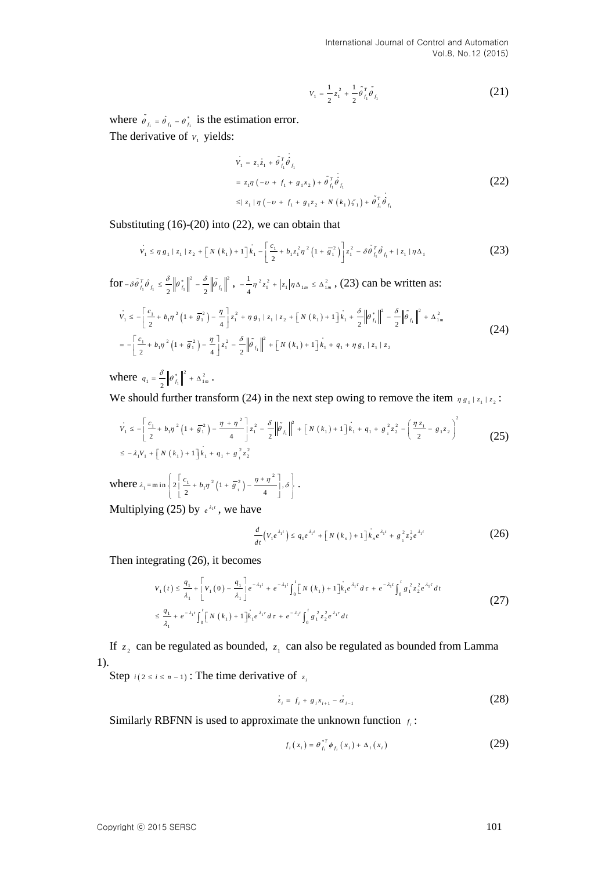International Journal of Control and Automation Vol.8, No.12 (2015)

$$
V_1 = \frac{1}{2}z_1^2 + \frac{1}{2}\tilde{\theta}_{f_1}^T \tilde{\theta}_{f_1}
$$
 (21)

where  $\hat{\theta}_{f_1} = \hat{\theta}_{f_1} - \theta_{f_1}^*$  is the estimation error. The derivative of  $v_1$  yields:

$$
V_1 = z_1 z_1 + \tilde{\theta}_{f_1}^T \dot{\theta}_{f_1}
$$
  
=  $z_1 \eta \left( -v + f_1 + g_1 x_2 \right) + \tilde{\theta}_{f_1}^T \dot{\theta}_{f_1}$   
 $\leq |z_1| \eta \left( -v + f_1 + g_1 z_2 + N (k_1) \zeta_1 \right) + \tilde{\theta}_{f_1}^T \dot{\theta}_{f_1}$  (22)

Substituting (16)-(20) into (22), we can obtain that

$$
v_1 \le \eta g_1 | z_1 | z_2 + [N(k_1) + 1]k_1 - \left[\frac{c_1}{2} + b_1 z_1^2 \eta^2 (1 + \overline{g}_1^2)\right] z_1^2 - \delta \tilde{\theta}_{f_1}^T \hat{\theta}_{f_1} + | z_1 | \eta \Delta_1
$$
 (23)

 $\int \int \int_{f_1}^{\delta} \hat{\theta} \, d\hat{\theta} \, d\hat{\theta} \, d\hat{\theta} = \frac{\delta}{2} \left\| \hat{\theta} \right\|_{f_1}^{\delta} \left\| \hat{\theta} \right\|_{f_1}^{\delta}$  $-\delta \tilde{\theta}_{f_1}^T \hat{\theta}_{f_1} \leq \frac{\delta}{2} \left\| \theta_{f_1}^* \right\|^2 - \frac{\delta}{2} \left\| \tilde{\theta}_{f_1} \right\|^2$ ,  $-\frac{1}{4} \eta^2 z_1^2 + \left| z_1 \right| \eta \Delta_{1m} \leq \Delta_1^2$  $-\frac{1}{4}\eta^2 z_1^2 + |z_1|\eta \Delta_{1m} \leq \Delta_{1m}^2$ , (23) can be written as:

$$
V_{1} \leq -\left[\frac{c_{1}}{2} + b_{1}\eta^{2}\left(1 + \frac{1}{8}\right)\right] - \frac{\eta}{4}\right]z_{1}^{2} + \eta g_{1} |z_{1}| z_{2} + \left[N(k_{1}) + 1\right]k_{1} + \frac{\delta}{2}\left\|\theta_{f_{1}}^{*}\right\|^{2} - \frac{\delta}{2}\left\|\tilde{\theta}_{f_{1}}\right\|^{2} + \Delta_{1m}^{2}
$$
\n
$$
= -\left[\frac{c_{1}}{2} + b_{1}\eta^{2}\left(1 + \frac{1}{8}\right)\right] - \frac{\eta}{4}\right]z_{1}^{2} - \frac{\delta}{2}\left\|\tilde{\theta}_{f_{1}}\right\|^{2} + \left[N(k_{1}) + 1\right]k_{1} + q_{1} + \eta g_{1} |z_{1}| z_{2}
$$
\n(24)

where  $q_1 = \frac{\delta}{2} \left| \theta_{f_1}^* \right|$  $q_1 = \frac{\delta}{2} ||\theta_{f_1}^*||^2 + \Delta_{1m}^2$ .

We should further transform (24) in the next step owing to remove the item 
$$
\eta g_1 | z_1 | z_2
$$
:  
\n
$$
v_1 \le -\left[\frac{c_1}{2} + b_1 \eta^2 \left(1 + \frac{c_1}{2}\right) - \frac{\eta + \eta^2}{4}\right] z_1^2 - \frac{\delta}{2} \left\|\tilde{\theta}_f\right\|^2 + \left[\frac{N(k_1) + 1}{2}k_1 + q_1 + \frac{\delta^2}{2} z_2^2 - \left(\frac{\eta z_1}{2} - g_1 z_2\right)^2\right]
$$
\n
$$
\le -\lambda_1 V_1 + \left[\frac{N(k_1) + 1}{2}k_1 + q_1 + \frac{\delta^2}{2} z_2^2\right]
$$
\n(25)

where  $\lambda_1 = \min \left\{ 2 \frac{c_1}{2} + b_1 \eta^2 \left( 1 + \overline{g}_1^2 \right) \right\}$  $\lambda_1 = m \ln \left\{ 2 \left[ \frac{c_1}{2} + b_1 \eta^2 \left( 1 + \overline{s}_1^2 \right) - \frac{\eta + \eta^2}{4} \right], \delta \right\}.$  $\left\{ 2 \left[ \frac{c_1}{2} + b_1 \eta^2 \left( 1 + \overline{g}_1^2 \right) - \frac{\eta + \eta}{4} \right], \delta \right\}.$ 

Multiplying (25) by  $e^{\lambda_1 t}$ , we have

$$
\frac{d}{dt}\left(V_1e^{\lambda_1 t}\right) \le q_1e^{\lambda_1 t} + \left[N\left(k_n\right) + 1\right]k_n e^{\lambda_1 t} + g_1^2 z_2^2 e^{\lambda_1 t} \tag{26}
$$

Then integrating (26), it becomes<br>  $V(t) \le \frac{q_1}{t} + \left[ V(0) - \frac{q_1}{t} \right] e^{-\lambda_1 t} +$ 

grating (26), it becomes  
\n
$$
V_{1}(t) \leq \frac{q_{1}}{\lambda_{1}} + \left[ V_{1}(0) - \frac{q_{1}}{\lambda_{1}} \right] e^{-\lambda_{1}t} + e^{-\lambda_{1}t} \int_{0}^{t} \left[ N(k_{1}) + 1 \right] k_{1} e^{\lambda_{1}t} dt + e^{-\lambda_{1}t} \int_{0}^{t} g_{1}^{2} z_{2}^{2} e^{\lambda_{1}t} dt
$$
\n
$$
\leq \frac{q_{1}}{\lambda_{1}} + e^{-\lambda_{1}t} \int_{0}^{t} \left[ N(k_{1}) + 1 \right] k_{1} e^{\lambda_{1}t} dt + e^{-\lambda_{1}t} \int_{0}^{t} g_{1}^{2} z_{2}^{2} e^{\lambda_{1}t} dt
$$
\n(27)

If  $z_2$  can be regulated as bounded,  $z_1$  can also be regulated as bounded from Lamma 1).

Step  $i(2 \le i \le n-1)$ : The time derivative of  $z_i$ 

$$
z_i = f_i + g_i x_{i+1} - \alpha_{i-1}
$$
 (28)

Similarly RBFNN is used to approximate the unknown function  $f_i$ :

$$
f_i(x_i) = \theta_{f_i}^{*T} \phi_{f_i}(x_i) + \Delta_i(x_i)
$$
 (29)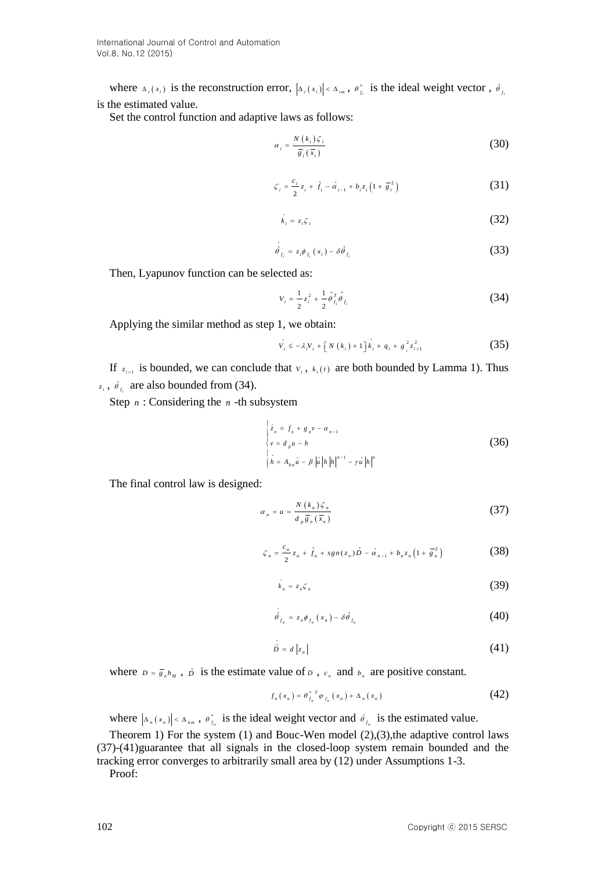where  $\Delta_i(x_i)$  is the reconstruction error,  $|\Delta_i(x_i)| < \Delta_{im}$ ,  $\theta_{f_i}^*$  is the ideal weight vector,  $\hat{\theta}_{f_i}$ is the estimated value.

Set the control function and adaptive laws as follows:

$$
\alpha_i = \frac{N(k_i)\zeta_i}{\overline{\overline{s}}_i(\overline{x}_i)}\tag{30}
$$

$$
\zeta_i = \frac{c_i}{2} z_i + \hat{f}_i - \dot{\alpha}_{i-1} + b_i z_i \left( 1 + \overline{g}_i^2 \right)
$$
 (31)

$$
\dot{k}_i = z_i \zeta_i \tag{32}
$$

$$
\hat{\theta}_{f_i} = z_i \phi_{f_i}(x_i) - \delta \hat{\theta}_{f_i}
$$
\n(33)

Then, Lyapunov function can be selected as:

$$
V_{i} = \frac{1}{2}z_{i}^{2} + \frac{1}{2}\tilde{\theta}_{f_{i}}^{T}\tilde{\theta}_{f_{i}}
$$
 (34)

Applying the similar method as step 1, we obtain:

$$
V_{i} \le -\lambda_{i} V_{i} + \left[ N(k_{i}) + 1 \right] k_{i} + q_{i} + g_{i}^{2} z_{i+1}^{2}
$$
 (35)

If  $z_{i+1}$  is bounded, we can conclude that  $v_i$ ,  $k_i(t)$  are both bounded by Lamma 1). Thus  $z_i$ ,  $\hat{\theta}_{f_i}$  are also bounded from (34).

Step  $n:$  Considering the  $n$ -th subsystem

$$
\begin{cases}\n z_n = f_n + g_n v - \alpha_{n-1} \\
 v = d_p u - h \\
 h = A_{bw} u - \beta |u| h |h|^{n-1} - \gamma u |h|^{n}\n\end{cases}
$$
\n(36)

The final control law is designed:

$$
\alpha_n = u = \frac{N(k_n)\zeta_n}{d_p \overline{g}_n(\overline{x}_n)}
$$
(37)

$$
\zeta_n = \frac{c_n}{2} z_n + \hat{f}_n + sgn(z_n) \hat{D} - \alpha_{n-1} + b_n z_n \left( 1 + \overline{g}_n^2 \right)
$$
 (38)

$$
k_n = z_n \zeta_n \tag{39}
$$

$$
\hat{\theta}_{f_n} = z_n \phi_{f_n} (x_n) - \delta \hat{\theta}_{f_n}
$$
\n(40)

$$
\hat{D} = d \left| z_n \right| \tag{41}
$$

where  $D = \overline{g}_n h_M$ ,  $\hat{D}$  is the estimate value of  $D$ ,  $c_n$  and  $b_n$  are positive constant.

$$
f_{n}(x_{n}) = \theta_{f_{n}}^{*T} \varphi_{f_{n}}(x_{n}) + \Delta_{n}(x_{n})
$$
\n(42)

where  $|_{\Delta_n}(x_n)| < \Delta_{nm}$ ,  $\theta_{f_n}^*$  is the ideal weight vector and  $\hat{\theta}_{f_n}$  is the estimated value.

Theorem 1) For the system  $(1)$  and Bouc-Wen model  $(2)$ , $(3)$ , the adaptive control laws (37)-(41)guarantee that all signals in the closed-loop system remain bounded and the tracking error converges to arbitrarily small area by (12) under Assumptions 1-3.

Proof: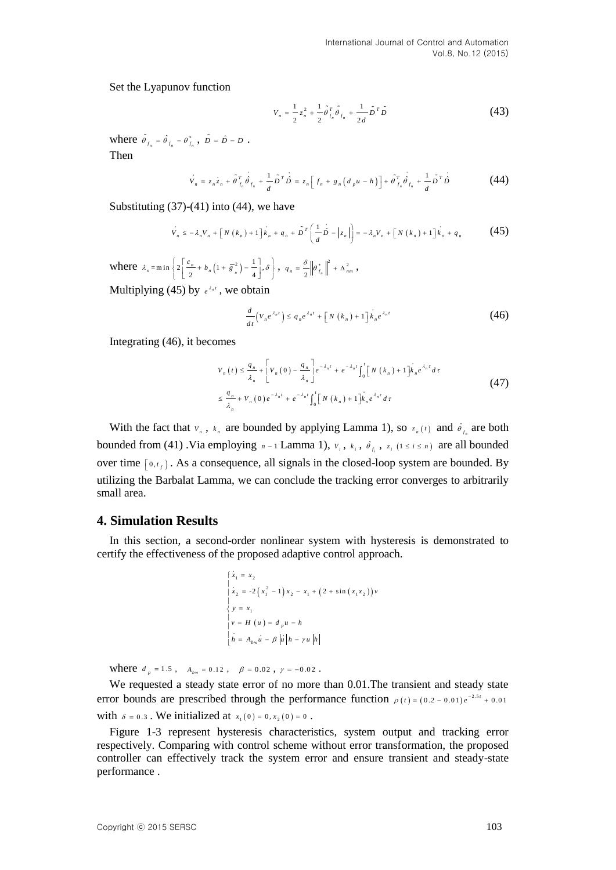Set the Lyapunov function

$$
V_n = \frac{1}{2} z_n^2 + \frac{1}{2} \tilde{\theta}_{f_n}^T \tilde{\theta}_{f_n} + \frac{1}{2d} \tilde{D}^T \tilde{D}
$$
 (43)

where  $\hat{\theta}_{f_n} = \hat{\theta}_{f_n} - \theta_{f_n}^*$ ,  $\tilde{D} = \hat{D} - D$ . Then

$$
\dot{V}_n = z_n z_n + \tilde{\theta}_{f_n}^T \hat{\theta}_{f_n} + \frac{1}{d} \tilde{D}^T \hat{D} = z_n \Big[ f_n + g_n \big( d_p u - h \big) \Big] + \tilde{\theta}_{f_n}^T \hat{\theta}_{f_n} + \frac{1}{d} \tilde{D}^T \hat{D}
$$
(44)

Substituting  $(37)-(41)$  into  $(44)$ , we have

$$
V_n \le -\lambda_n V_n + \left[N(k_n) + 1\right]k_n + q_n + \tilde{D}^T\left(\frac{1}{d}\tilde{D} - \left|z_n\right|\right) = -\lambda_n V_n + \left[N(k_n) + 1\right]k_n + q_n \tag{45}
$$

where  $\lambda_n = \min \left\{ 2 \left[ \frac{c_n}{2} + b_n \left( 1 + \overline{s}_n^2 \right) - \frac{1}{4} \right], \delta \right\}, \quad q_n = \frac{\delta}{2} || \theta_{f_n}^* ||^2 + \Delta_n^2$  $q_{n} = \frac{\delta}{2} \left\| \theta_{f_{n}}^{*} \right\|^{2} + \Delta_{nm}^{2}$ Multiplying (45) by  $e^{\lambda_n t}$ , we obtain

$$
\frac{d}{dt}\left(V_n e^{\lambda_n t}\right) \le q_n e^{\lambda_n t} + \left[N\left(k_n\right) + 1\right]k_n e^{\lambda_n t} \tag{46}
$$

Integrating (46), it becomes

$$
V_{n}(t) \leq \frac{q_{n}}{\lambda_{n}} + \left[ V_{n}(0) - \frac{q_{n}}{\lambda_{n}} \right] e^{-\lambda_{n}t} + e^{-\lambda_{n}t} \int_{0}^{t} \left[ N(k_{n}) + 1 \right] k_{n} e^{\lambda_{n}t} d\tau
$$
  

$$
\leq \frac{q_{n}}{\lambda_{n}} + V_{n}(0) e^{-\lambda_{n}t} + e^{-\lambda_{n}t} \int_{0}^{t} \left[ N(k_{n}) + 1 \right] k_{n} e^{\lambda_{n}t} d\tau
$$
 (47)

With the fact that  $v_n$ ,  $v_n$  are bounded by applying Lamma 1), so  $z_n(t)$  and  $\hat{\theta}_{f_n}$  are both bounded from (41) Via employing  $n-1$  Lamma 1),  $v_i$ ,  $k_i$ ,  $\hat{\theta}_{f_i}$ ,  $z_i$  ( $1 \le i \le n$ ) are all bounded over time  $\left[0, t_f\right)$ . As a consequence, all signals in the closed-loop system are bounded. By utilizing the Barbalat Lamma, we can conclude the tracking error converges to arbitrarily small area.

## **4. Simulation Results**

In this section, a second-order nonlinear system with hysteresis is demonstrated to certify the effectiveness of the proposed adaptive control approach.

$$
\begin{cases}\n\dot{x}_1 = x_2 \\
\dot{x}_2 = -2(x_1^2 - 1)x_2 - x_1 + (2 + \sin(x_1x_2))\nu \\
y = x_1 \\
\nu = H (u) = d_p u - h \\
\dot{h} = A_{bw} u - \beta |u| h - \gamma u |h|\n\end{cases}
$$

where  $d_p = 1.5$ ,  $A_{bw} = 0.12$ ,  $\beta = 0.02$ ,  $\gamma = -0.02$ .

We requested a steady state error of no more than 0.01.The transient and steady state error bounds are prescribed through the performance function  $\rho(t) = (0.2 - 0.01)e^{-2.5t} + 0.01$ with  $\delta = 0.3$ . We initialized at  $x_1(0) = 0, x_2(0) = 0$ .

Figure 1-3 represent hysteresis characteristics, system output and tracking error respectively. Comparing with control scheme without error transformation, the proposed controller can effectively track the system error and ensure transient and steady-state performance .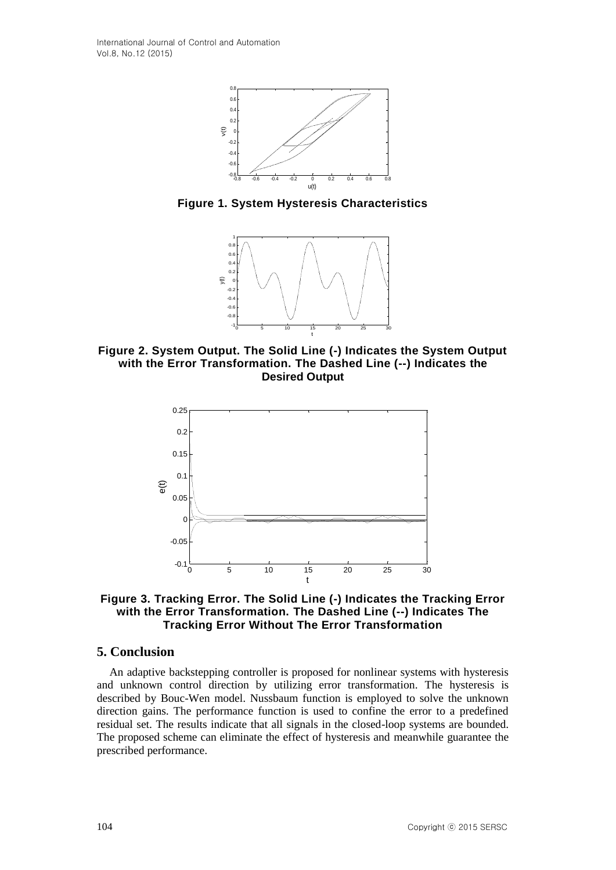

**Figure 1. System Hysteresis Characteristics**



**Figure 2. System Output. The Solid Line (-) Indicates the System Output with the Error Transformation. The Dashed Line (--) Indicates the Desired Output**



**Figure 3. Tracking Error. The Solid Line (-) Indicates the Tracking Error with the Error Transformation. The Dashed Line (--) Indicates The Tracking Error Without The Error Transformation**

# **5. Conclusion**

An adaptive backstepping controller is proposed for nonlinear systems with hysteresis and unknown control direction by utilizing error transformation. The hysteresis is described by Bouc-Wen model. Nussbaum function is employed to solve the unknown direction gains. The performance function is used to confine the error to a predefined residual set. The results indicate that all signals in the closed-loop systems are bounded. The proposed scheme can eliminate the effect of hysteresis and meanwhile guarantee the prescribed performance.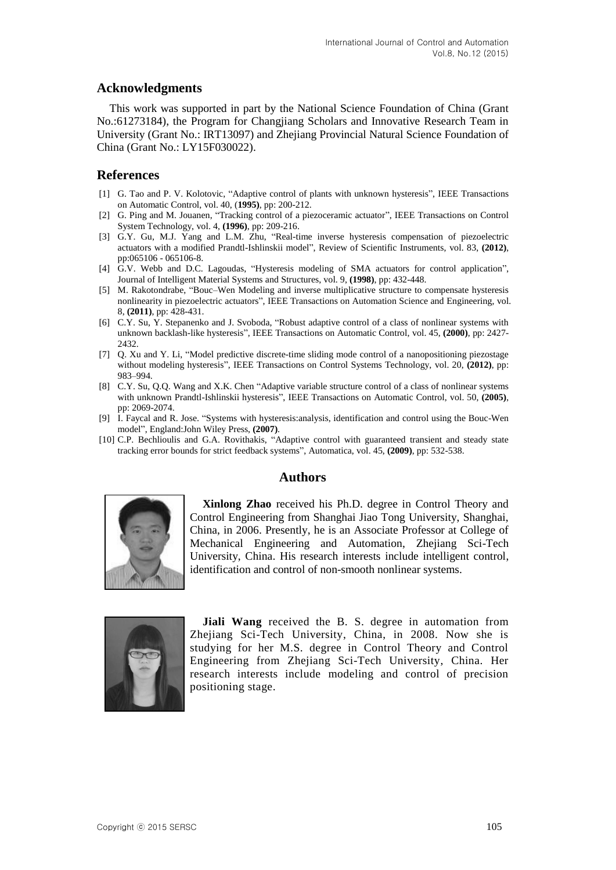# **Acknowledgments**

This work was supported in part by the National Science Foundation of China (Grant No.:61273184), the Program for Changjiang Scholars and Innovative Research Team in University (Grant No.: IRT13097) and Zhejiang Provincial Natural Science Foundation of China (Grant No.: LY15F030022).

# **References**

- [1] G. Tao and P. V. Kolotovic, "Adaptive control of plants with unknown hysteresis", IEEE Transactions on Automatic Control, vol. 40, (**1995)**, pp: 200-212.
- [2] G. Ping and M. Jouanen, "Tracking control of a piezoceramic actuator", IEEE Transactions on Control System Technology, vol. 4, **(1996)**, pp: 209-216.
- [3] G.Y. Gu, M.J. Yang and L.M. Zhu, "Real-time inverse hysteresis compensation of piezoelectric actuators with a modified Prandtl-Ishlinskii model", Review of Scientific Instruments, vol. 83, **(2012)**, pp:065106 - 065106-8.
- [4] G.V. Webb and D.C. Lagoudas, "Hysteresis modeling of SMA actuators for control application", Journal of Intelligent Material Systems and Structures, vol. 9, **(1998)**, pp: 432-448.
- [5] M. Rakotondrabe, "Bouc–Wen Modeling and inverse multiplicative structure to compensate hysteresis nonlinearity in piezoelectric actuators", IEEE Transactions on Automation Science and Engineering, vol. 8, **(2011)**, pp: 428-431.
- [6] C.Y. Su,  $\tilde{Y}$ . Stepanenko and J. Svoboda, "Robust adaptive control of a class of nonlinear systems with unknown backlash-like hysteresis", IEEE Transactions on Automatic Control, vol. 45, **(2000)**, pp: 2427- 2432.
- [7] Q. Xu and Y. Li, "Model predictive discrete-time sliding mode control of a nanopositioning piezostage without modeling hysteresis", IEEE Transactions on Control Systems Technology, vol. 20, **(2012)**, pp: 983–994.
- [8] C.Y. Su, Q.Q. Wang and X.K. Chen "Adaptive variable structure control of a class of nonlinear systems with unknown Prandtl-Ishlinskii hysteresis", IEEE Transactions on Automatic Control, vol. 50, **(2005)**, pp: 2069-2074.
- [9] I. Faycal and R. Jose. "Systems with hysteresis:analysis, identification and control using the Bouc-Wen model", England:John Wiley Press, **(2007)**.
- [10] C.P. Bechlioulis and G.A. Rovithakis, "Adaptive control with guaranteed transient and steady state tracking error bounds for strict feedback systems", Automatica, vol. 45, **(2009)**, pp: 532-538.

# **Authors**



**Xinlong Zhao** received his Ph.D. degree in Control Theory and Control Engineering from Shanghai Jiao Tong University, Shanghai, China, in 2006. Presently, he is an Associate Professor at College of Mechanical Engineering and Automation, Zhejiang Sci-Tech University, China. His research interests include intelligent control, identification and control of non-smooth nonlinear systems.



**Jiali Wang** received the B. S. degree in automation from Zhejiang Sci-Tech University, China, in 2008. Now she is studying for her M.S. degree in Control Theory and Control Engineering from Zhejiang Sci-Tech University, China. Her research interests include modeling and control of precision positioning stage.